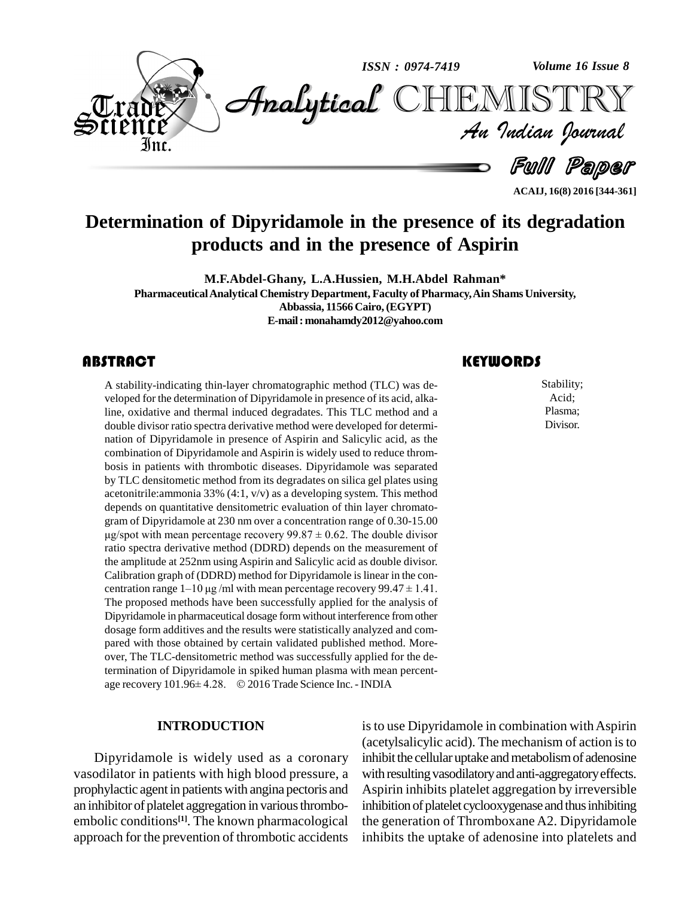

**ACAIJ, 16(8) 2016 [344-361]**

# **Determination of Dipyridamole in the presence of its degradation products and in the presence of Aspirin**

**M.F.Abdel-Ghany, L.A.Hussien, M.H.Abdel Rahman\* PharmaceuticalAnalytical Chemistry Department, Faculty of Pharmacy,Ain Shams University, Abbassia, 11566 Cairo,(EGYPT) E-mail:[monahamdy2012@yahoo.com](mailto:monahamdy2012@yahoo.com)**

# **ABSTRACT**

A stability-indicating the<br>veloped for the determina<br>line, oxidative and therr A stability-indicating thin-layer chromatographic method (TLC) was de veloped for the determination of Dipyridamole in presence of its acid, alkaline, oxidative and thermal induced degradates. This TLC method and a double divisor ratio spectra derivative method were developed for determi nation of Dipyridamole in presence of Aspirin and Salicylic acid, as the combination of Dipyridamole and Aspirin is widely used to reduce throm bosis in patients with thrombotic diseases. Dipyridamole was separated by TLC densitometic method from its degradates on silica gel plates using acetonitrile:ammonia 33% (4:1, v/v) as a developing system. This method depends on quantitative densitometric evaluation of thin layer chromatogram of Dipyridamole at 230 nm over a concentration range of 0.30-15.00 on quantitative densitometric evaluation of thin layer chromato-<br>Dipyridamole at 230 nm over a concentration range of 0.30-15.00<br>with mean percentage recovery  $99.87 \pm 0.62$ . The double divisor ratio spectra derivative method (DDRD) depends on the measurement of the amplitude at 252nm using Aspirin and Salicylic acid as double divisor. Calibration graph of (DDRD) method for Dipyridamole is linear in the conthe amplitude at 252nm using Aspirin and Salicylic acid as double divisor.<br>Calibration graph of (DDRD) method for Dipyridamole is linear in the concentration range  $1-10 \mu g/ml$  with mean percentage recovery 99.47  $\pm$  1.41. The proposed methods have been successfully applied for the analysis of Dipyridamole in pharmaceutical dosage formwithout interference fromother dosage form additives and the results were statistically analyzed and com pared with those obtained by certain validated published method. More over, The TLC-densitometric method was successfully applied for the determination of Dipyridamole in spiked human plasma with mean percent over, The TLC-densitometric method was successfully applied for the determination of Dipyridamole in spiked human plasma with mean percentage recovery 101.96± 4.28. © 2016 Trade Science Inc. - INDIA

### **INTRODUCTION**

Dipyridamole is widely used as a coronary vasodilator in patients with high blood pressure, a prophylactic agent in patients with angina pectoris and an inhibitor of platelet aggregation in various thromboembolic conditions<sup>[1]</sup>. The known pharmacological the approach for the prevention of thrombotic accidents

# **KEYWORDS**

Stability;<br>Acid;<br>Plasma; Stability; Acid; Plasma; Divisor.

is to use Dipyridamole in combination with Aspirin (acetylsalicylic acid). The mechanism of action isto inhibit the cellular uptake and metabolism of adenosine with resulting vasodilatory and anti-aggregatory effects. Aspirin inhibits platelet aggregation by irreversible inhibition of platelet cyclooxygenase and thus inhibiting the generation of Thromboxane A2. Dipyridamole inhibits the uptake of adenosine into platelets and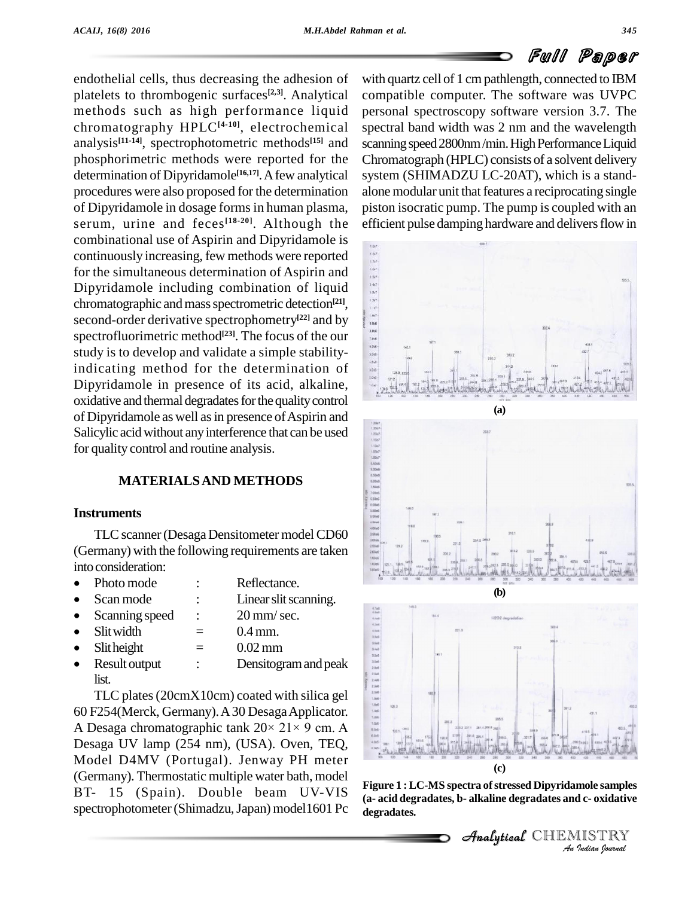endothelial cells, thus decreasing the adhesion of platelets to thrombogenic surfaces<sup>[2,3]</sup>. Analytical co methods such as high performance liquid chromatography HPLC**[4-10]**, electrochemical analysis<sup>[11-14]</sup>, spectrophotometric methods<sup>[15]</sup> and scanning phosphorimetric methods were reported for the determination of Dipyridamole<sup>[16,17]</sup>. A few analytical system procedures were also proposed for the determination of Dipyridamole in dosage forms in human plasma, serum, urine and feces<sup>[18-20]</sup>. Although the efficie combinational use of Aspirin and Dipyridamole is<br>continuously increasing, few methods were reported<br>for the simultaneous determination of Aspirin and<br>Dipyridamole including combination of liquid<br>chromatographic and mass s continuously increasing, few methods were reported for the simultaneous determination of Aspirin and Dipyridamole including combination of liquid chromatographic and mass spectrometric detection<sup>[21]</sup>, second-order derivative spectrophometry **[22]** and by spectrofluorimetric method **[23]**. The focus of the our study is to develop and validate a simple stabilityindicating method for the determination of Dipyridamole in presence of its acid, alkaline, oxidative and thermal degradates for the quality control of Dipyridamole as well as in presence of Aspirin and<br>Salicylic acid without any interference that can be used<br>for quality control and routine analysis.<br>**MATERIALS AND METHODS**<br>Instruments Salicylic acid without any interference that can be used for quality control and routine analysis.

# **MATERIALSAND METHODS**

#### **Instruments**

TLC scanner (Desaga Densitometer model CD60 (Germany) with the following requirements are taken into consideration:<br>• Photo mode : Reflectance.

- Photo mode : Reflectance.<br>• Scan mode : Linear slit scanning.
- 

 $\bullet$ 

• Scan mode : Linear slit scanning<br>• Scanning speed : 20 mm/sec.

- Scanning speed :  $20 \text{ mm/sec.}$ <br>Slit width  $= 0.4 \text{ mm.}$
- $\text{Slit height} = 0.02 \text{ mm}$
- $\bullet$ list.

Scanning speed :  $20 \text{ mm/sec.}$ <br>
Slit width =  $0.4 \text{ mm.}$ <br>
Slit height =  $0.02 \text{ mm}$ <br>
Result output : Densitogram and peak<br>
list.<br>
TLC plates (20cmX10cm) coated with silica gel<br>
F254(Merck, Germany). A 30 Desaga Applicator.<br> TLC plates(20cmX10cm) coated with silica gel 60 F254(Merck, Germany).A30 DesagaApplicator. TLC plates (20cmX10cm) coated with silica gel<br>60 F254(Merck, Germany). A 30 Desaga Applicator.<br>A Desaga chromatographic tank  $20 \times 21 \times 9$  cm. A Desaga UV lamp (254 nm), (USA). Oven, TEQ, Model D4MV (Portugal). Jenway PH meter (Germany). Thermostatic multiple water bath, model BT- 15 (Spain). Double beam UV-VIS spectrophotometer (Shimadzu, Japan) model1601 Pc

with quartz cell of 1 cm pathlength, connected to IBM compatible computer. The software was UVPC personal spectroscopy software version 3.7.The spectral band width was 2 nm and the wavelength scanning speed 2800nm/min. High Performance Liquid Chromatograph (HPLC) consists of a solvent delivery system (SHIMADZU LC-20AT), which is a stand alone modular unit that features a reciprocating single piston isocratic pump. The pump is coupled with an efficient pulse damping hardware and delivers flow in







**Indian**<br>**Indianal School School**<br>**I**ISTRY<br>*Indian Sournal* **Figure 1 :LC-MS spectra ofstressed Dipyridamole samples (a- acid degradates, b- alkaline degradates and c- oxidative degradates.**

**Analytical** CHEMIST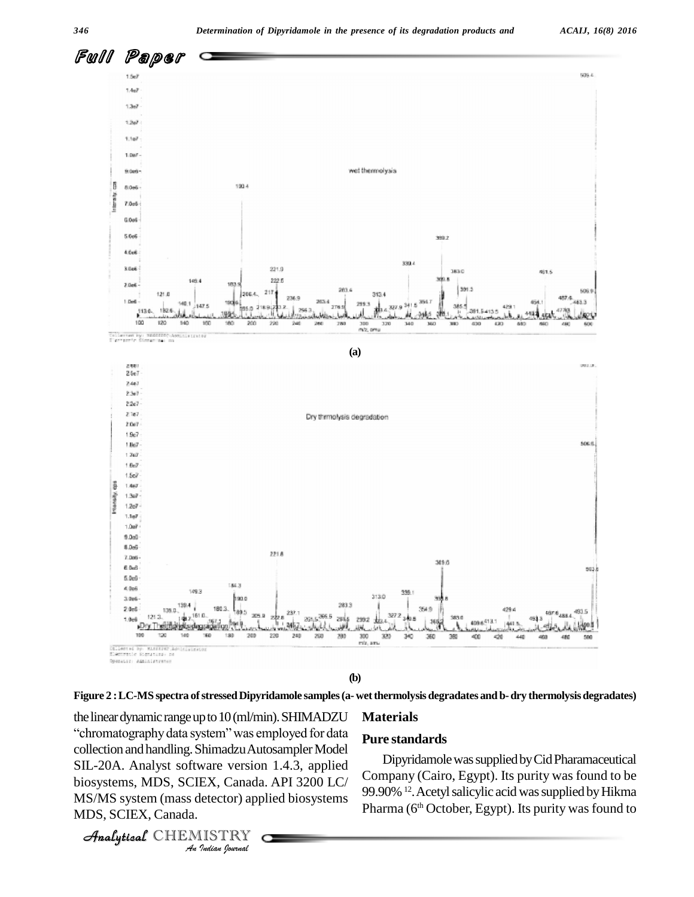

ìchromatographydata**Figure 2 :LC-MS spectra ofstressedDipyridamole samples(a-wetthermolysis degradates and b-dry thermolysisdegradates)**

*An*collection andhandling.ShimadzuAutosamplerModel COLECTION and nandling. Shimadzu Autosampler Model<br>
SIL-20A. Analyst software version 1.4.3, applied<br>
biosystems, MDS, SCIEX, Canada. API 3200 LC/<br>
MS/MS system (mass detector) applied biosystems<br>
Pharm<br> *Analytical* CHEMI the linear dynamic range up to 10 (ml/min). SHIMADZU Materials of stressed Dipyridamole samples (a- wet ther<br>up to  $10 \, (\text{ml/min})$ . SHIMADZU Mate<br>system" was employed for data biosystems, MDS, SCIEX, Canada. API 3200 LC/ MS/MS system (mass detector) applied biosystems MDS, SCIEX, Canada.

#### **Materials**

#### **Pure standards**

DipyridamolewassuppliedbyCidPharamaceutical Company (Cairo, Egypt). Its purity was found to be 99.90% <sup>12</sup>. Acetyl salicylic acid was supplied by Hikma Pharma (6<sup>th</sup> October, Egypt). Its purity was found to

**Analytical** CHEMISTRY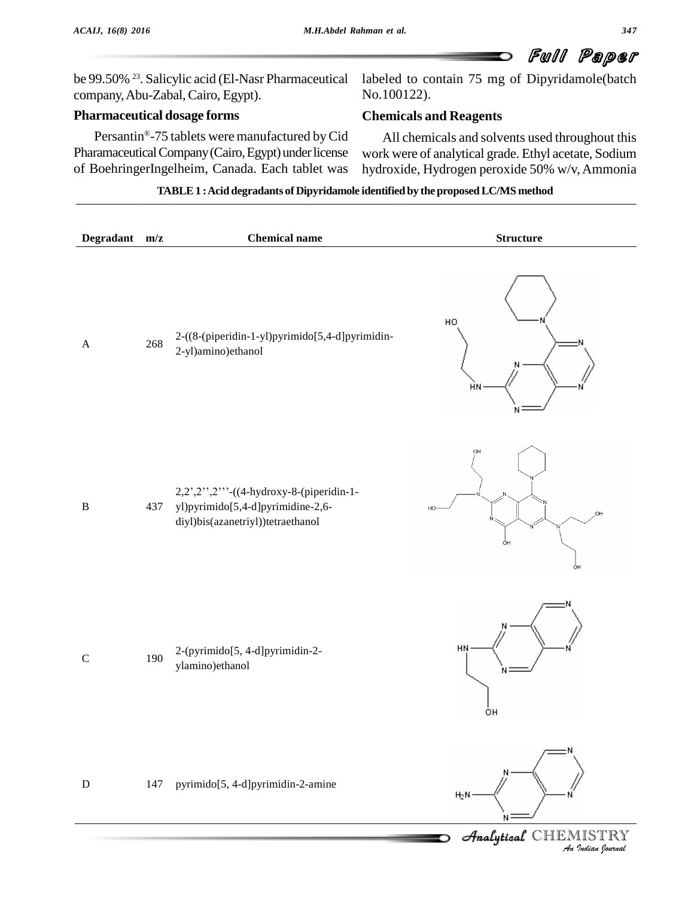be 99.50% <sup>23</sup>. Salicylic acid (El-Nasr Pharmaceutical lab company,Abu-Zabal,Cairo, Egypt).

## **Pharmaceutical dosage forms** Æ

Persantin<sup>®</sup>-75 tablets were manufactured by Cid All Pharamaceutical Company (Cairo, Egypt) under license of BoehringerIngelheim, Canada. Each tablet was

labeled to contain 75 mg of Dipyridamole(batch No.100122).

# **Chemicals and Reagents**

All chemicals and solvents used throughout this work were of analytical grade. Ethyl acetate, Sodium hydroxide, Hydrogen peroxide 50% w/v,Ammonia

#### **TABLE1 :Acid degradants of Dipyridamole identified by the proposedLC/MS method**

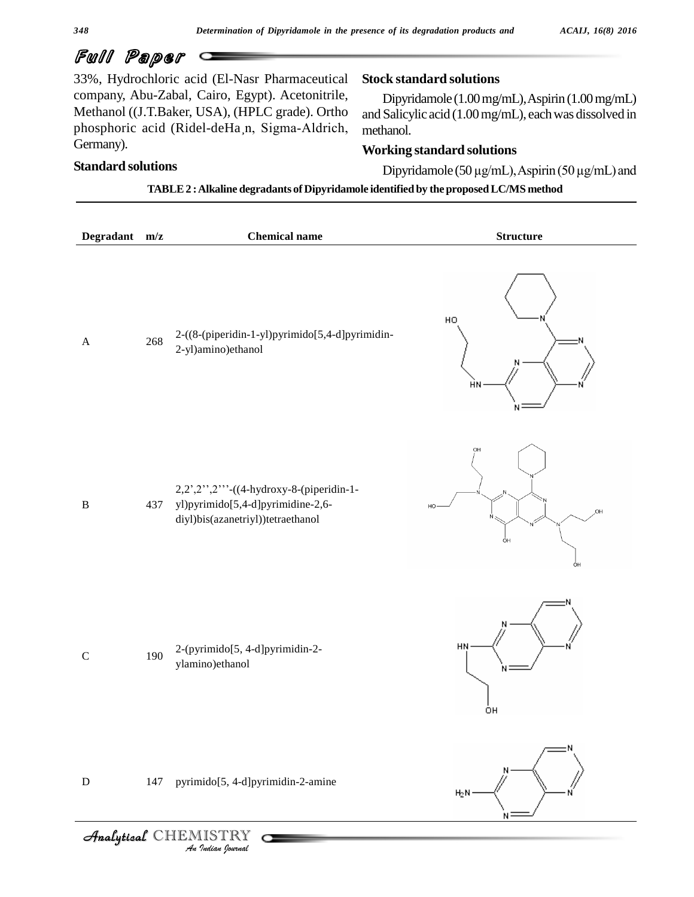33%, Hydrochloric acid (El-Nasr Pharmaceutical company, Abu-Zabal, Cairo, Egypt). Acetonitrile, Methanol ((J.T.Baker, USA), (HPLC grade). Ortho phosphoric acid (Ridel-deHa¸n, Sigma-Aldrich, Germany).

# **Standard solutions**

## **Stock standard solutions**

Dipyridamole (1.00mg/mL),Aspirin(1.00mg/mL) and Salicylic acid (1.00mg/mL), eachwas dissolved in methanol.

# **Working standard solutions**

Dipyridamole (50µg/mL),Aspirin (50µg/mL) and

**TABLE2 :Alkaline degradants of Dipyridamole identified by the proposedLC/MS method**

| Degradant m/z |     | <b>Chemical name</b>                                                                                            | <b>Structure</b>           |
|---------------|-----|-----------------------------------------------------------------------------------------------------------------|----------------------------|
| $\mathbf{A}$  | 268 | 2-((8-(piperidin-1-yl)pyrimido[5,4-d]pyrimidin-<br>2-yl)amino)ethanol                                           | HO<br>HN                   |
| $\, {\bf B}$  | 437 | 2,2',2'''-((4-hydroxy-8-(piperidin-1-<br>yl)pyrimido[5,4-d]pyrimidine-2,6-<br>diyl)bis(azanetriyl))tetraethanol | OH<br>HO<br>OH<br>ÒН<br>ÒН |
| $\mathsf C$   | 190 | 2-(pyrimido[5, 4-d]pyrimidin-2-<br>ylamino)ethanol                                                              | HN<br>ÒН                   |
| ${\bf D}$     | 147 | pyrimido[5, 4-d]pyrimidin-2-amine<br>Analytical CHEMISTRY                                                       | $H_2N$                     |
|               |     | .<br>An Indian Iournal                                                                                          |                            |

*Analytical* CHEMISTRY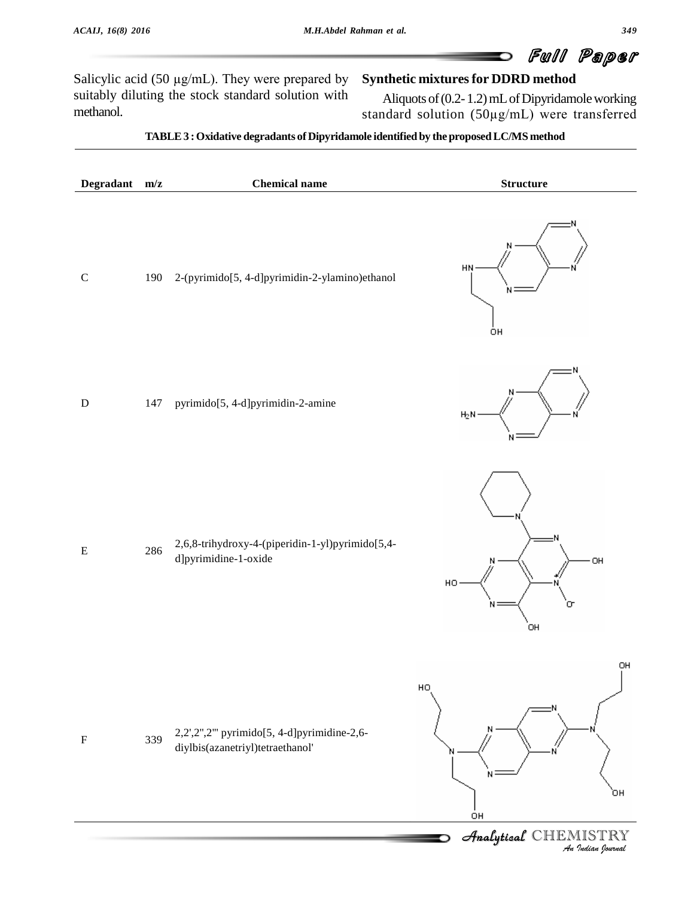Salicylic acid (50  $\mu$ g/mL). They were prepared by suitably diluting the stock standard solution with methanol.

## **Synthetic mixturesfor DDRD method**

Aliquots of (0.2- 1.2) mL of Dipyridamole working standard solution (50µg/mL) were transferred

#### **TABLE3 :Oxidative degradants ofDipyridamole identified by theproposedLC/MS method**

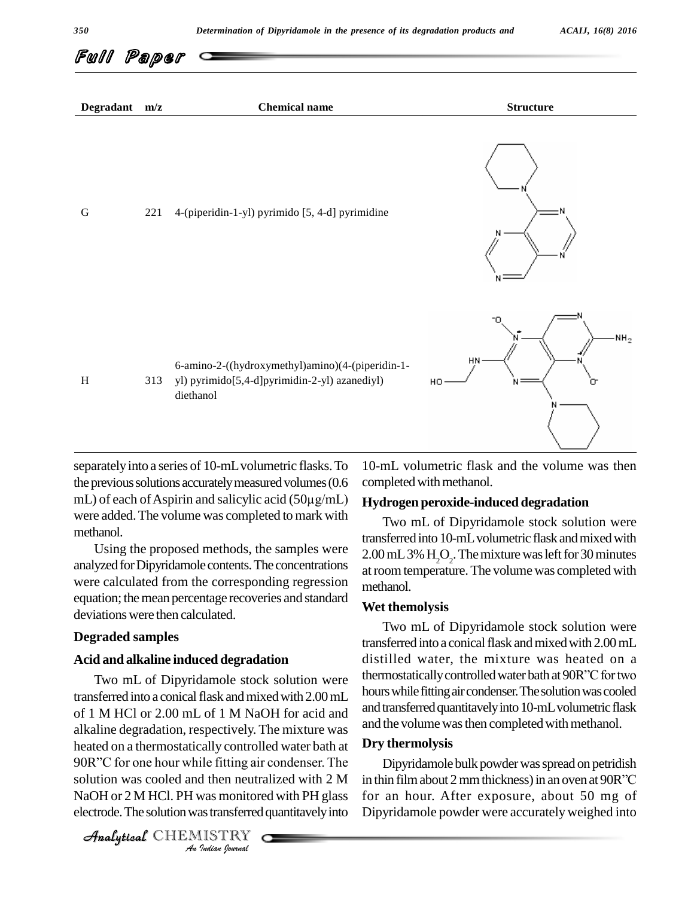

separately into a series of 10-mL volumetric flasks. To 10-mL<br>the previous solutions accurately measured volumes (0.6 complemL) of each of Aspirin and salicylic acid (50µg/mL) **Hydro** the previous solutions accurately measured volumes (0.6 were added.The volume was completed to mark with methanol.

Using the proposed methods, the samples were analyzed for Dipyridamole contents. The concentrations were calculated from the corresponding regression equation; the mean percentage recoveries and standard deviationswere then calculated.

#### **Degraded samples**

### **Acid and alkaline induced degradation**

heated on a thermostatically controlled water bath at **Dry** *Indian*<br>*I*le fitting air<br>*I* was monitore<br>as transferred<br>*I* ISTRY 90R"C for one hour while fitting air condenser. The transferred into a conical flask and mixed with 2.00 mL of 1 M HCl or 2.00 mL of 1 M NaOH for acid and alkaline degradation, respectively. The mixture was alkaline degradation, respectively. The mixture was<br>heated on a thermostatically controlled water bath at **Dry t**<br>90R''C for one hour while fitting air condenser. The D solution was cooled and then neutralized with 2 M NaOH or 2 M HCl. PH was monitored with PH glass electrode. The solution was transferred quantitavely into

10-mL volumetric flask and the volume was then completed with methanol.

#### **Hydrogen peroxide-induced degradation**

Two mL of Dipyridamole stock solution were transferred into 10-mL volumetric flask and mixed with  $2.00 \,\mathrm{mL}$  3%  $\mathrm{H}_2\mathrm{O}_2$ . The mixture was left for 30 minutes at room temperature. The volume was completed with methanol.

#### **Wet themolysis**

Two mL of Dipyridamole stock solution were thermostatically controlled water bath at 90R"C for two Two mL of Dipyridamole stock solution were transferred into a conical flask and mixed with 2.00 mL<br>distilled water, the mixture was heated on a<br>thermostatically controlled water bath at 90R"C for two distilled water, the mixture was heated on a hours while fitting air condenser. The solution was cooled and transferred quantitavely into 10-mL volumetric flask and the volume was then completed with methanol.

#### **Dry thermolysis**

Dipyridamole bulk powder was spread on petridish in thin film about 2 mm thickness) in an oven at 90R"C for an hour. After exposure, about 50 mg of Dipyridamole powder were accurately weighed into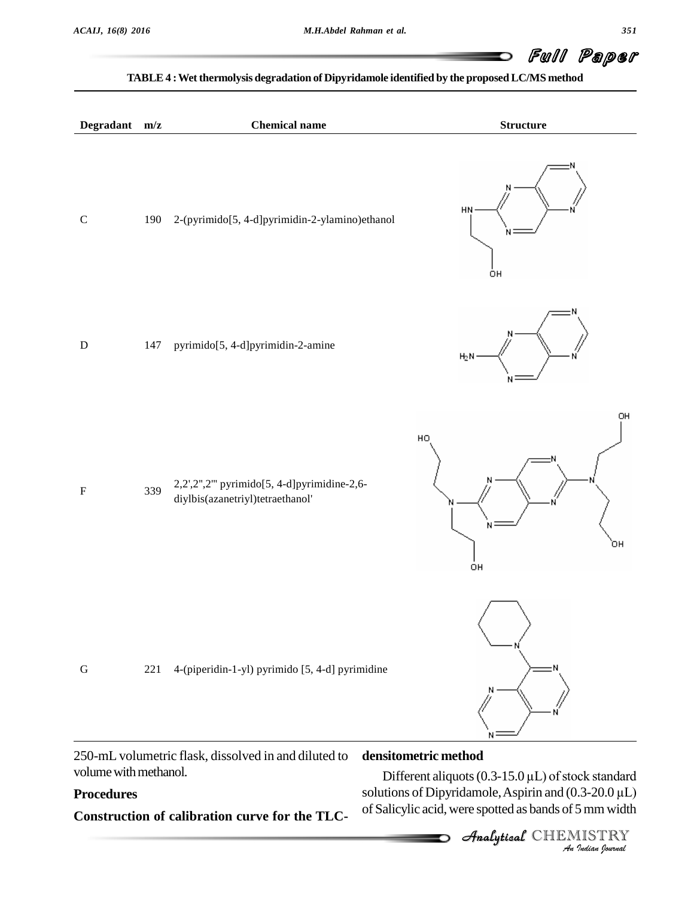#### **TABLE4 :Wet thermolysis degradation of Dipyridamole identified by the proposedLC/MS method**

| Degradant m/z |     | <b>Chemical name</b>                                                           | <b>Structure</b>                   |
|---------------|-----|--------------------------------------------------------------------------------|------------------------------------|
| ${\bf C}$     | 190 | 2-(pyrimido[5, 4-d]pyrimidin-2-ylamino)ethanol                                 | HN<br>ÒН                           |
| ${\bf D}$     | 147 | pyrimido[5, 4-d]pyrimidin-2-amine                                              | $H_2N$                             |
| $\mathbf F$   | 339 | 2,2',2",2" pyrimido[5, 4-d]pyrimidine-2,6-<br>diylbis(azanetriyl)tetraethanol' | OH<br>HO <sub>1</sub><br>`он<br>OH |
| ${\bf G}$     | 221 | 4-(piperidin-1-yl) pyrimido [5, 4-d] pyrimidine                                |                                    |

250-mL volumetric flask, dissolved in and diluted to volume with methanol.

# **Procedures**

**Construction of calibration curve for the TLC-**

# Analytical**densitometric method**

*I*<br>Indian Indian<br>*I* ISTRY<br>*Indian Iournal* Different aliquots (0.3-15.0  $\mu$ L) of stock standard solutions of Dipyridamole, Aspirin and  $(0.3-20.0 \,\mu L)$ of Salicylic acid,were spotted as bands of 5mmwidth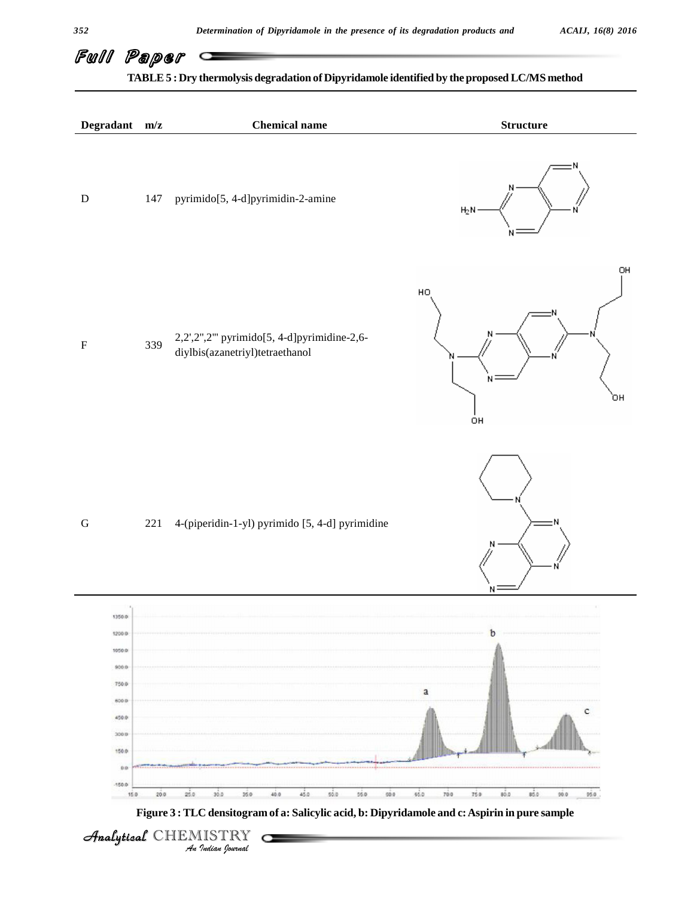





Analytical CHEMISTRY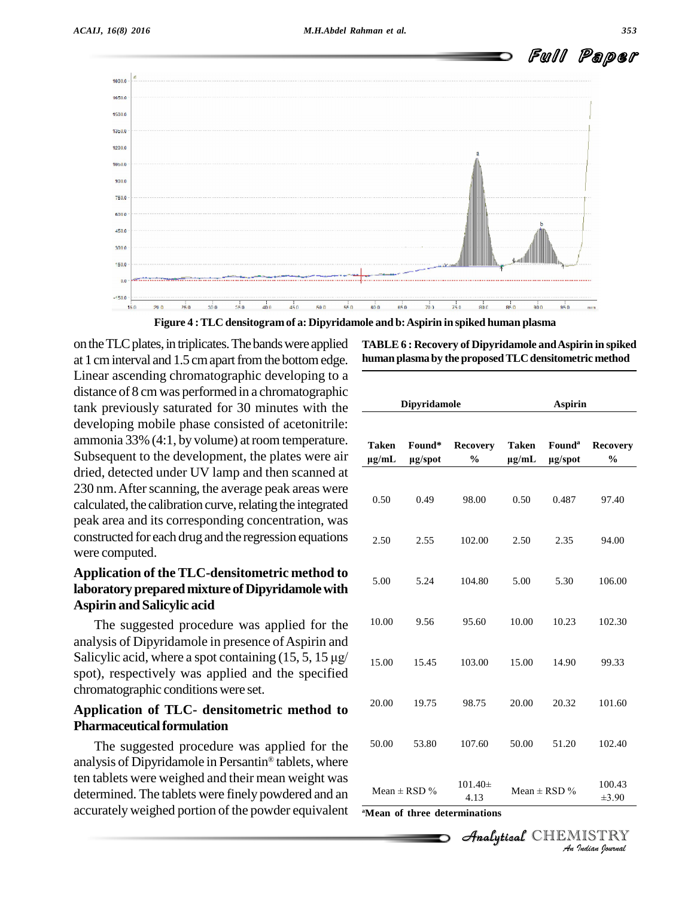



**Figure 4 :TLC densitogram of a: Dipyridamole and b:Aspirin in spiked human plasma**

on the TLC plates, in triplicates. The bands were applied at 1 cm interval and 1.5 cm apart from the bottom edge. Linear ascending chromatographic developing to a distance of 8 cm was performed in a chromatographic tank previously saturated for 30 minutes with the developing mobile phase consisted of acetonitrile: ammonia 33% (4:1, by volume) at room temperature. Subsequent to the development, the plates were air dried, detected under UV lamp and then scanned at 230 nm. After scanning, the average peak areas were calculated, the calibration curve, relating the integrated peak area and its corresponding concentration, was constructed foreach drug and the regression equations were computed.

# **Application of theTLC-densitometric method to laboratory prepared mixture of Dipyridamolewith Aspirin and Salicylic acid**

The suggested procedure was applied for the analysis of Dipyridamole in presence of Aspirin and The suggested procedure was applied for the<br>analysis of Dipyridamole in presence of Aspirin and<br>Salicylic acid, where a spot containing (15, 5, 15  $\mu$ g/ spot), respectively was applied and the specified chromatographic conditionswere set.

# **Application of TLC- densitometric method to Pharmaceutical formulation**

The suggested procedure was applied for the 50.00 analysis of Dipyridamole in Persantin® tablets, where ten tablets were weighed and their mean weight was determined. The tablets were finely powdered and an accuratelyweighed portion of the powder equivalent

**TABLE6 : Recovery of Dipyridamole andAspirin in spiked human plasmaby the proposedTLCdensitometric method**

|                                                                                    | <b>Dipyridamole</b> |                                  |                     | <b>Aspirin</b>                |                                  |  |
|------------------------------------------------------------------------------------|---------------------|----------------------------------|---------------------|-------------------------------|----------------------------------|--|
| <b>Taken</b><br>$\mu$ g/mL                                                         | Found*<br>µg/spot   | <b>Recovery</b><br>$\frac{0}{0}$ | Taken<br>$\mu$ g/mL | Found <sup>a</sup><br>µg/spot | <b>Recovery</b><br>$\frac{0}{0}$ |  |
| 0.50                                                                               | 0.49                | 98.00                            | 0.50                | 0.487                         | 97.40                            |  |
| 2.50                                                                               | 2.55                | 102.00                           | 2.50                | 2.35                          | 94.00                            |  |
| 5.00                                                                               | 5.24                | 104.80                           | 5.00                | 5.30                          | 106.00                           |  |
| 10.00                                                                              | 9.56                | 95.60                            | 10.00               | 10.23                         | 102.30                           |  |
| 15.00                                                                              | 15.45               | 103.00                           | 15.00               | 14.90                         | 99.33                            |  |
| 20.00                                                                              | 19.75               | 98.75                            | 20.00               | 20.32                         | 101.60                           |  |
| 50.00                                                                              | 53.80               | 107.60                           | 50.00               | 51.20                         | 102.40                           |  |
|                                                                                    | Mean $\pm$ RSD %    | $101.40 \pm$<br>4.13             |                     | Mean $\pm$ RSD %              | 100.43<br>$\pm 3.90$             |  |
| Mean of three determinations<br><i>Analytical</i> CHEMISTRY<br>-An Indian (Iournal |                     |                                  |                     |                               |                                  |  |

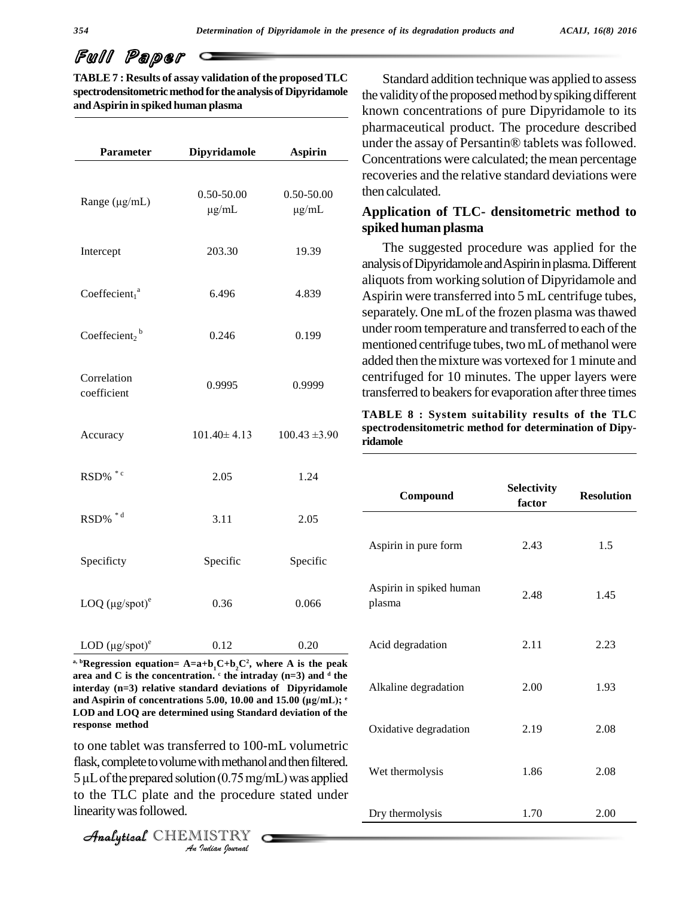**TABLE 7 : Results of assay validation of the proposedTLC spectrodensitometric method for the analysis of Dipyridamole andAspirin in spiked human plasma**

| Parameter                             | Dipyridamole      | <b>Aspirin</b>    |
|---------------------------------------|-------------------|-------------------|
|                                       |                   |                   |
| Range $(\mu g/mL)$                    | $0.50 - 50.00$    | $0.50 - 50.00$    |
|                                       | $\mu$ g/mL        | $\mu$ g/mL        |
| Intercept                             | 203.30            | 19.39             |
| Coeffecient <sub>1</sub> ª            | 6.496             | 4.839             |
| Coeffecient <sub>2</sub> <sup>b</sup> | 0.246             | 0.199             |
| Correlation<br>coefficient            | 0.9995            | 0.9999            |
| Accuracy                              | $101.40 \pm 4.13$ | $100.43 \pm 3.90$ |
| RSD% *c                               | 2.05              | 1.24              |
| RSD% *d                               | 3.11              | 2.05              |
| Specificty                            | Specific          | Specific          |
| LOQ $(\mu g$ /spot $)^e$              | 0.36              | 0.066             |
| LOD $(\mu g$ /spot $)^e$              | 0.12              | 0.20              |

 $A = \mathbf{a} + \mathbf{b}_1 + \mathbf{c} + \mathbf{b}_2 + \mathbf{c}$  **example 4** and **Equality Equality A** is the peak **area and C is the concentration. <sup>c</sup> the intraday (n=3) and <sup>d</sup> the interday (n=3) relative standard deviations of Dipyridamole** area and C is the concentration.  $\epsilon$  the intraday (n=3) and  $\epsilon$  the interday (n=3) relative standard deviations of Dipyridamole and Aspirin of concentrations 5.00, 10.00 and 15.00 (µg/mL);  $\epsilon$ and Aspirin of concentrations 5.00, 10.00 and 15.00 ( $\mu$ g/mL); <sup>e</sup> **LOD and LOQ are determined using Standard deviation of the response method**

*An*to one tablet was transferred to 100-mL volumetric with methanol<br>ion (0.75 mg/<br>the procedu:<br>*ISTRY* flask, complete to volume with methanol and then filtered.  $5 \mu L$  of the prepared solution (0.75 mg/mL) was applied to the TLC plate and the procedure stated under linearity was followed.

CHEMISTRY COMMENT

Standard addition technique was applied to assess the validity of the proposed method by spiking different known concentrations of pure Dipyridamole to its pharmaceutical product. The procedure described under the assay of Persantin® tablets was followed. Concentrations were calculated; the mean percentage recoveries and the relative standard deviations were then calculated.

# **Application of TLC- densitometric method to spiked human plasma**

The suggested procedure was applied for the analysisofDipyridamoleandAspirininplasma.Different aliquots from working solution of Dipyridamole and Aspirin were transferred into 5 mL centrifuge tubes, separately. One mL of the frozen plasma was thawed under room temperature and transferred to each of the mentioned centrifuge tubes, two mL of methanol were added then the mixture was vortexed for 1 minute and centrifuged for 10 minutes. The upper layers were transferred to beakers for evaporation after three times

**TABLE 8 : System suitability results of the TLC spectrodensitometric method for determination of Dipy ridamole**

| Compound                          | Selectivity<br>factor | <b>Resolution</b> |
|-----------------------------------|-----------------------|-------------------|
| Aspirin in pure form              | 2.43                  | 1.5               |
| Aspirin in spiked human<br>plasma | 2.48                  | 1.45              |
| Acid degradation                  | 2.11                  | 2.23              |
| Alkaline degradation              | 2.00                  | 1.93              |
| Oxidative degradation             | 2.19                  | 2.08              |
| Wet thermolysis                   | 1.86                  | 2.08              |
| Dry thermolysis                   | 1.70                  | 2.00              |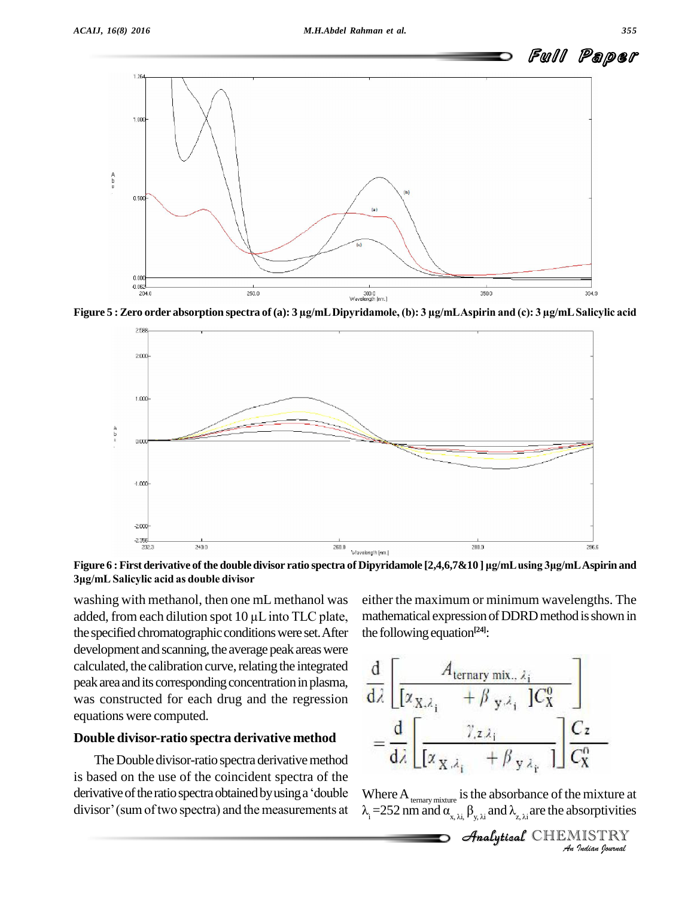



**<sup>3</sup>Ïg/mL Salicylic acid as double divisor**

washing with methanol, then one mL methanol was  $3\mu$ g/mL Salicylic acid as double divisor<br>washing with methanol, then one mL methanol was<br>added, from each dilution spot 10  $\mu$ L into TLC plate, the specified chromatographic conditions were set. After development and scanning, the average peak areas were calculated, the calibration curve, relating the integrated peak area and its corresponding concentration in plasma, was constructed for each drug and the regression equations were computed.

#### **Double divisor-ratio spectra derivative method**

The Double divisor-ratio spectra derivative method is based on the use of the coincident spectra of the The Double divisor-ratio spectra derivative method<br>is based on the use of the coincident spectra of the<br>derivative of the ratio spectra obtained by using a 'double When derivative of the ratio spectra obtained by using a 'double divisor' (sum of two spectra) and the measurements at

either the maximum or minimum wavelengths. The mathematical expression of DDRD method is shown in the following equation<sup>[24]</sup>:

$$
\frac{d}{dz} \left[ \frac{A_{\text{ternary mix., }\lambda_i}}{[\alpha_{X,\lambda_i} + \beta_{y,\lambda_i}]} \right]
$$

$$
= \frac{d}{d\lambda} \left[ \frac{\gamma_{z\lambda_i}}{[\alpha_{X,\lambda_i} + \beta_{y\lambda_i}]} \right] \frac{C_z}{C_X^0}
$$

*I*ndian<br> *I* an ixture at<br> **IISTRY**<br>Indian Iournal Where  $A_{\text{ternary mixture}}$  is the absorbance of the mixture at  $\lambda_i = 252$  nm and  $\alpha_{x, \lambda i}$ ,  $\beta_{y, \lambda i}$  and  $\lambda_{z, \lambda i}$  are the absorptivities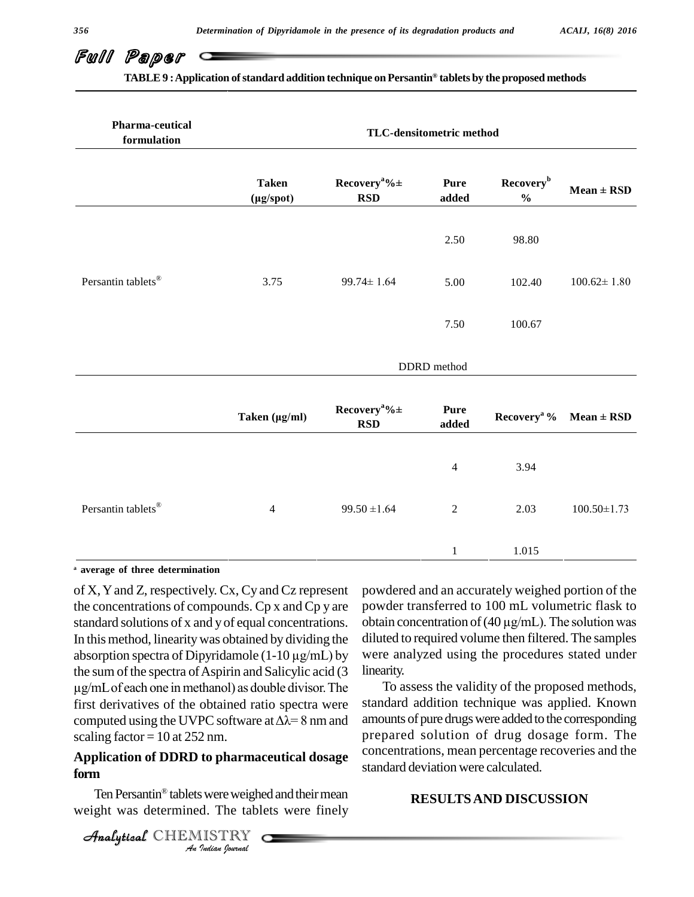**TABLE9 :Application ofstandard addition technique on Persantin tablets by the proposed methods**

**Æ**

| Pharma-ceutical<br>formulation | TLC-densitometric method        |                                            |                                 |                                                             |                   |  |
|--------------------------------|---------------------------------|--------------------------------------------|---------------------------------|-------------------------------------------------------------|-------------------|--|
|                                | <b>Taken</b><br>$(\mu g$ /spot) | Recovery <sup>a</sup> % $\pm$<br>$\bf RSD$ | <b>Pure</b><br>$\mathbf{added}$ | Recovery <sup>b</sup><br>$\mathbf{0}_{\mathbf{0}}^{\prime}$ | $Mean \pm RSD$    |  |
|                                |                                 |                                            | 2.50                            | 98.80                                                       |                   |  |
| Persantin tablets <sup>®</sup> | 3.75                            | $99.74 \pm 1.64$                           | 5.00                            | 102.40                                                      | $100.62 \pm 1.80$ |  |
|                                |                                 |                                            | 7.50                            | 100.67                                                      |                   |  |
|                                |                                 |                                            | DDRD method                     |                                                             |                   |  |
|                                | Taken (µg/ml)                   | Recovery <sup>a</sup> % $\pm$<br>$\bf RSD$ | <b>Pure</b><br>added            | Recovery <sup>a</sup> %                                     | $Mean \pm RSD$    |  |
|                                |                                 |                                            | $\overline{4}$                  | 3.94                                                        |                   |  |
| Persantin tablets <sup>®</sup> | $\overline{4}$                  | $99.50 \pm 1.64$                           | $\sqrt{2}$                      | 2.03                                                        | $100.50 \pm 1.73$ |  |
|                                |                                 |                                            | $\mathbf{1}$                    | 1.015                                                       |                   |  |

**<sup>a</sup> average of three determination**

of X,Yand Z, respectively. Cx, Cy and Cz represent the concentrations of compounds. Cp x and Cp y are standard solutions of x and y of equal concentrations. obtain concentration of  $(40 \,\mu\text{g/mL})$ . The solution was In this method, linearity was obtained by dividing the dilute standard solutions of x and y of equal concentrations. obtain In this method, linearity was obtained by dividing the diluted absorption spectra of Dipyridamole (1-10  $\mu$ g/mL) by were a the sum of the spectra of Aspirin and Salicylic acid  $(3$  linearity absorption spectra of Dipyridamole  $(1-10 \mu g/mL)$  by m spectra of Dipyridamole  $(1-10 \mu g/mL)$  by were<br>f the spectra of Aspirin and Salicylic acid  $(3$  lineari<br>each one in methanol) as double divisor. The first derivatives of the obtained ratio spectra were  $\mu$ g/mL of each one in methanol) as double divisor. The To<br>first derivatives of the obtained ratio spectra were standa<br>computed using the UVPC software at  $\Delta\lambda = 8$  nm and amoun scaling factor =  $10$  at 252 nm.

# *An*Analytical**Application of DDRD to pharmaceutical dosage** *Indian Pharmac*<br>*I* were weighed. The table<br>*ISTRY* Cadian *Iournal* **form**

Ten Persantin® tablets were weighed and their mean weight was determined. The tablets were finely

powdered and an accurately weighed portion of the powder transferred to 100 mL volumetric flask to powdered and an accurately weighed portion of the<br>powder transferred to 100 mL volumetric flask to<br>obtain concentration of (40 µg/mL). The solution was diluted to required volume then filtered. The samples were analyzed using the procedures stated under linearity.

To assess the validity of the proposed methods, standard addition technique was applied. Known amounts of pure drugs were added to the corresponding prepared solution of drug dosage form. The concentrations, mean percentage recoveries and the standard deviation were calculated.

### **RESULTSAND DISCUSSION**

CHEMISTRY COMMENT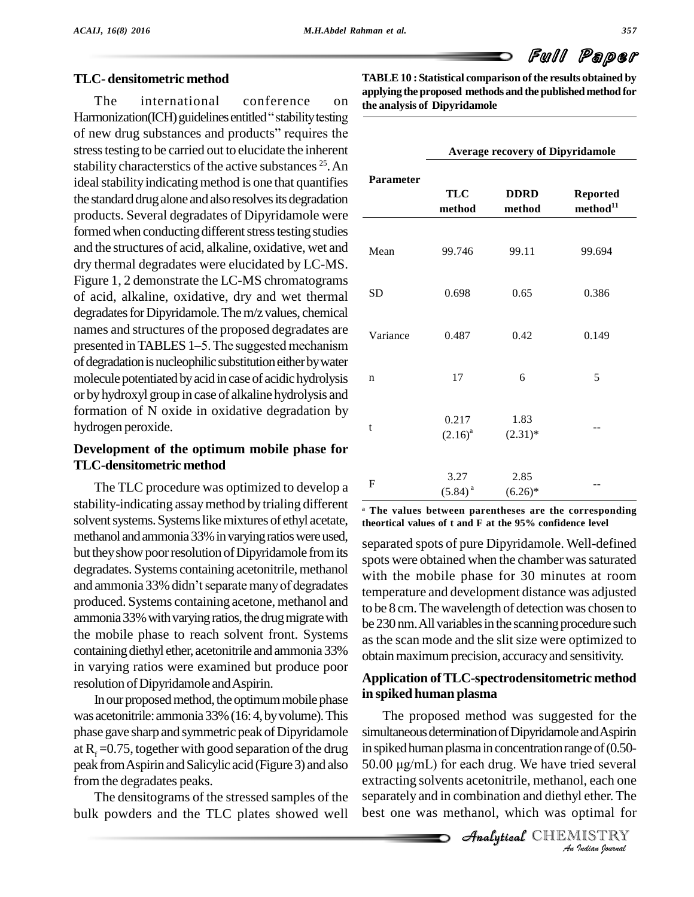

### **TLC- densitometric method**

The international conference on Harmonization(ICH) guidelines entitled "stability testing of new drug substances and products" requires the stress testing to be carried out to elucidate the inherent stability characterstics of the active substances <sup>25</sup>. An ideal stability indicating method is one that quantifies the standard drug alone and also resolves its degradation products. Several degradates of Dipyridamole were formed when conducting different stress testing studies and the structures of acid, alkaline, oxidative, wet and dry thermal degradates were elucidated by LC-MS. Figure 1, 2 demonstrate the LC-MS chromatograms of acid, alkaline, oxidative, dry and wet thermal degradates for Dipyridamole. The m/z values, chemical names and structures of the proposed degradates are  $V_{\text{20}}$ degradates for Dipyridamole. The m/z values, chemical<br>names and structures of the proposed degradates are<br>presented in TABLES 1–5. The suggested mechanism of degradation is nucleophilic substitution either by water molecule potentiated by acid in case of acidic hydrolysis or byhydroxyl group in case of alkaline hydrolysis and formation of N oxide in oxidative degradation by hydrogen peroxide.

## **Development of the optimum mobile phase for TLC-densitometric method**

The TLC procedure was optimized to develop a stability-indicating assaymethod by trialing different solvent systems. Systems like mixtures of ethyl acetate, methanol and ammonia 33% in varying ratios were used, but they show poor resolution of Dipyridamole from its<br>degradates. Systems containing acetonitrile, methanol with<br>and ammonia 33% didn't separate many of degradates degradates. Systems containing acetonitrile, methanol produced. Systems containing acetone, methanol and ammonia 33% with varying ratios, the drug migrate with the mobile phase to reach solvent front. Systems containing diethyl ether, acetonitrile and ammonia 33% in varying ratios were examined but produce poor resolution of Dipyridamole and Aspirin.

In our proposed method, the optimum mobile phase was acetonitrile: ammonia 33% (16: 4, by volume). This phase gave sharp and symmetric peak of Dipyridamole at  $R_f = 0.75$ , together with good separation of the drug peak from Aspirin and Salicylic acid (Figure 3) and also from the degradates peaks.

The densitograms of the stressed samples of the bulk powders and the TLC plates showed well

**TABLE10 : Statistical comparison ofthe results obtained by applying theproposed methods and thepublished method for the analysis of Dipyridamole**

|                  | <b>Average recovery of Dipyridamole</b> |                       |                                         |  |  |
|------------------|-----------------------------------------|-----------------------|-----------------------------------------|--|--|
| <b>Parameter</b> | <b>TLC</b><br>method                    | <b>DDRD</b><br>method | <b>Reported</b><br>method <sup>11</sup> |  |  |
| Mean             | 99.746                                  | 99.11                 | 99.694                                  |  |  |
| <b>SD</b>        | 0.698                                   | 0.65                  | 0.386                                   |  |  |
| Variance         | 0.487                                   | 0.42                  | 0.149                                   |  |  |
| $\mathbf n$      | 17                                      | 6                     | 5                                       |  |  |
| t                | 0.217<br>$(2.16)^{a}$                   | 1.83<br>$(2.31)^*$    |                                         |  |  |
| $\mathbf F$      | 3.27<br>$(5.84)^{a}$                    | 2.85<br>$(6.26)^*$    |                                         |  |  |

**<sup>a</sup> The values between parentheses are the corresponding theortical values of t and F at the 95% confidence level**

separated spots of pure Dipyridamole. Well-defined spots were obtained when the chamber was saturated with the mobile phase for 30 minutes at room temperature and development distance was adjusted to be 8 cm. The wavelength of detection was chosen to be 230 nm. All variables in the scanning procedure such as the scan mode and the slit size were optimized to obtain maximum precision, accuracy and sensitivity.

# **Application ofTLC-spectrodensitometric method in spiked human plasma**

*An*inspikedhumanplasma inconcentrationrangeof(0.50- *Ige* of (0.50-<br>*I*ed several<br>*I*l, each one<br>*I*letian fournal<br>*Indian fournal* simultaneous determination of Dipyridamole and Aspirin<br>in spiked human plasma in concentration range of (0.50-<br>50.00  $\mu$ g/mL) for each drug. We have tried several The proposed method was suggested for the simultaneous determination of Dipyridamole and Aspirin extracting solvents acetonitrile, methanol, each one separately and in combination and diethyl ether. The best one was methanol, which was optimal for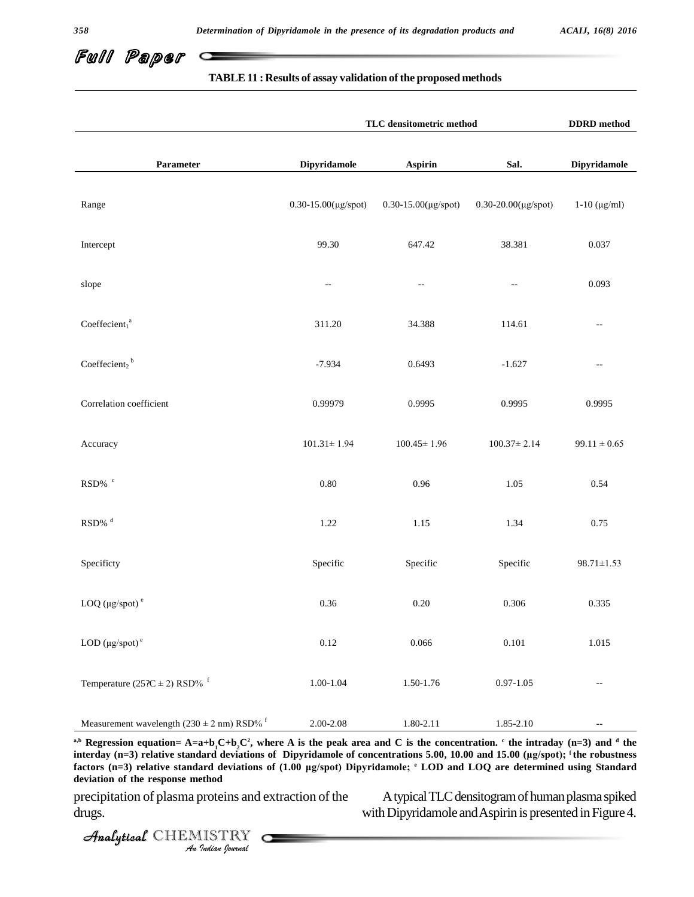

#### **TABLE11 : Results of assay validation ofthe proposed methods**

|                                                                    | TLC densitometric method    | ${\bf DDRD}$ method |                          |                          |
|--------------------------------------------------------------------|-----------------------------|---------------------|--------------------------|--------------------------|
| Parameter                                                          | Dipyridamole                | Aspirin             | Sal.                     | Dipyridamole             |
| Range                                                              | $0.30 - 15.00(\mu g$ /spot) | 0.30-15.00(µg/spot) | 0.30-20.00(µg/spot)      | $1-10$ ( $\mu$ g/ml)     |
| Intercept                                                          | 99.30                       | 647.42              | 38.381                   | 0.037                    |
| slope                                                              | $\overline{\phantom{m}}$    | $-\, -$             | $\overline{\phantom{a}}$ | 0.093                    |
| Coefficient <sub>1</sub> <sup>a</sup>                              | 311.20                      | 34.388              | 114.61                   | $\overline{\phantom{a}}$ |
| Coefficient <sub>2</sub> <sup>b</sup>                              | $-7.934$                    | 0.6493              | $-1.627$                 | $\overline{\phantom{a}}$ |
| Correlation coefficient                                            | 0.99979                     | 0.9995              | 0.9995                   | 0.9995                   |
| Accuracy                                                           | $101.31 \pm 1.94$           | $100.45 \pm 1.96$   | $100.37 \pm 2.14$        | $99.11 \pm 0.65$         |
|                                                                    | $0.80\,$                    | $0.96\,$            | 1.05                     | 0.54                     |
| $\text{RSD}\%$ $^{\text{d}}$                                       | 1.22                        | 1.15                | 1.34                     | 0.75                     |
| Specificty                                                         | Specific                    | Specific            | Specific                 | $98.71 \pm 1.53$         |
| LOQ ( $\mu$ g/spot) <sup>e</sup>                                   | 0.36                        | $0.20\,$            | 0.306                    | 0.335                    |
| LOD $(\mu g$ /spot $)^e$                                           | 0.12                        | 0.066               | $0.101\,$                | 1.015                    |
| Temperature ( $25\text{?C} \pm 2$ ) RSD% <sup>f</sup>              | $1.00 - 1.04$               | $1.50 - 1.76$       | $0.97 - 1.05$            | $\sim$ $-$               |
| Measurement wavelength $(230 \pm 2 \text{ nm})$ RSD% $^{\text{f}}$ | $2.00 - 2.08$               | 1.80-2.11           | 1.85-2.10                | $\overline{\phantom{a}}$ |

 $A = \frac{A}{A}$  **(n=3)** relative standard deviations of Dipyridamole of concentrations 5.00, 10.00 and 15.00 ( $\mu$ g/spot); <sup>f</sup> the robustness<br>before (n=3) relative standard deviations of (1.00 ug/spot) Dipyridamole: **i** J.OD *Iard deviations<br>ard deviations<br>ethod<br>proteins and distribution of a formal* <sup>a,b</sup> Regression equation= A=a+b<sub>1</sub>C+b<sub>2</sub>C<sup>2</sup>, where A is the peak area and C is the concentration.  $\cdot$  the intraday (n=3) and  $\cdot$  the **interday** (n=3) **relative standard deviations** of **Dipyridamole** of **concentrations** 5.00, 10.00 and 15.00 (µg/spot); <sup>1</sup> the interday (n=3) interday (n=3) relative standard deviations of **Dipyridamole** of **concentrat** <sup>a,b</sup> Regression equation= A=a+b<sub>1</sub>C+b<sub>2</sub>C<sup>2</sup>, where A is the peak area and C is the interday (n=3) relative standard deviations of Dipyridamole of concentrations 5.<br>factors (n=3) relative standard deviations of (1.00  $\mu$ factors (n=3) relative standard deviations of (1.00 µg/spot) Dipyridamole; <sup>e</sup> LOD and LOQ are determined using Standard **deviation of the response method**

precipitation of plasma proteins and extraction of the Atypical TLC densitogram of human plasma spiked precipitation of plasma proteins and extraction of the Atypical TLC densitogram of human plasma spiked<br>with Dipyridamole and Aspirin is presented in Figure 4.

CHEMISTRY COMMENT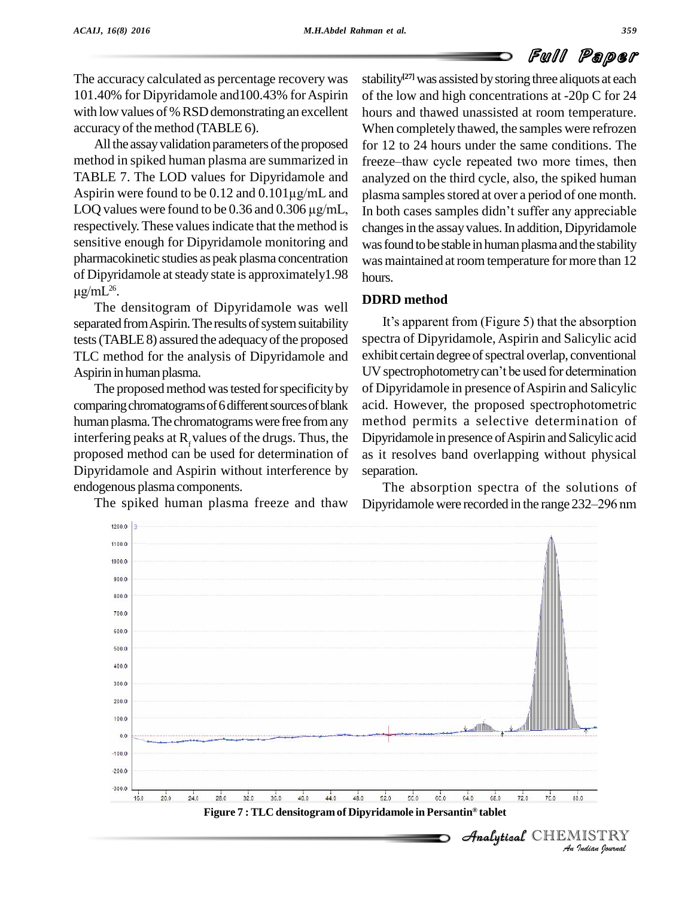The accuracy calculated as percentage recovery was 101.40% for Dipyridamole and100.43% forAspirin with low values of % RSD demonstrating an excellent accuracy of the method (TABLE 6).

All the assay validation parameters of the proposed method in spiked human plasma are summarized in TABLE 7. The LOD values for Dipyridamole and analyz method in spiked human plasma are summarized in freeze-<br>TABLE 7. The LOD values for Dipyridamole and analyz<br>Aspirin were found to be 0.12 and 0.101µg/mL and plasma TABLE 7. The LOD values for Dipyridamole and<br>Aspirin were found to be  $0.12$  and  $0.101 \mu g/mL$  and pl<br>LOQ values were found to be  $0.36$  and  $0.306 \mu g/mL$ , In respectively. These values indicate that the method is sensitive enough for Dipyridamole monitoring and pharmacokinetic studies as peak plasma concentration was ma of Dipyridamole atsteady state is approximately1.98  $\mu$ g/mL<sup>26</sup>. .

The densitogram of Dipyridamole was well separated from Aspirin. The results of system suitability tests (TABLE 8) assured the adequacy of the proposed TLC method for the analysis of Dipyridamole and Aspirin in human plasma.

The proposed method was tested for specificity by comparing chromatograms of 6 different sources of blank human plasma. The chromatograms were free from any interfering peaks at  $R_f$  values of the drugs. Thus, the proposed method can be used for determination of Dipyridamole and Aspirin without interference by endogenous plasma components.

The spiked human plasma freeze and thaw

stability **[27]**was assisted bystoring three aliquots ateach of the low and high concentrations at  $-20p$  C for 24 hours and thawed unassisted at room temperature. When completely thawed, the samples were refrozen for 12 to 24 hours under the same conditions. The freeze–thaw cycle repeated two more times, then analyzed on the third cycle, also, the spiked human In both cases samples didnít suffer any appreciable plasma samples stored at over a period of one month. changes in the assay values. In addition, Dipyridamole was found to be stable in human plasma and the stability was maintained at room temperature for more than 12 hours.

# **DDRD method**

It's apparent from (Figure 5) that the absorption spectra of Dipyridamole, Aspirin and Salicylic acid UVspectrophotometrycanít be used for determination exhibit certain degree of spectral overlap, conventional of Dipyridamole in presence of Aspirin and Salicylic acid. However, the proposed spectrophotometric method permits a selective determination of Dipyridamole in presence of Aspirin and Salicylic acid as it resolves band overlapping without physical separation.

The absorption spectra of the solutions of Dipyridamole were recorded in the range 232–296 nm

 $\mathcal{A}$ nalytical  $\mathbb{CHEMIST}$ 

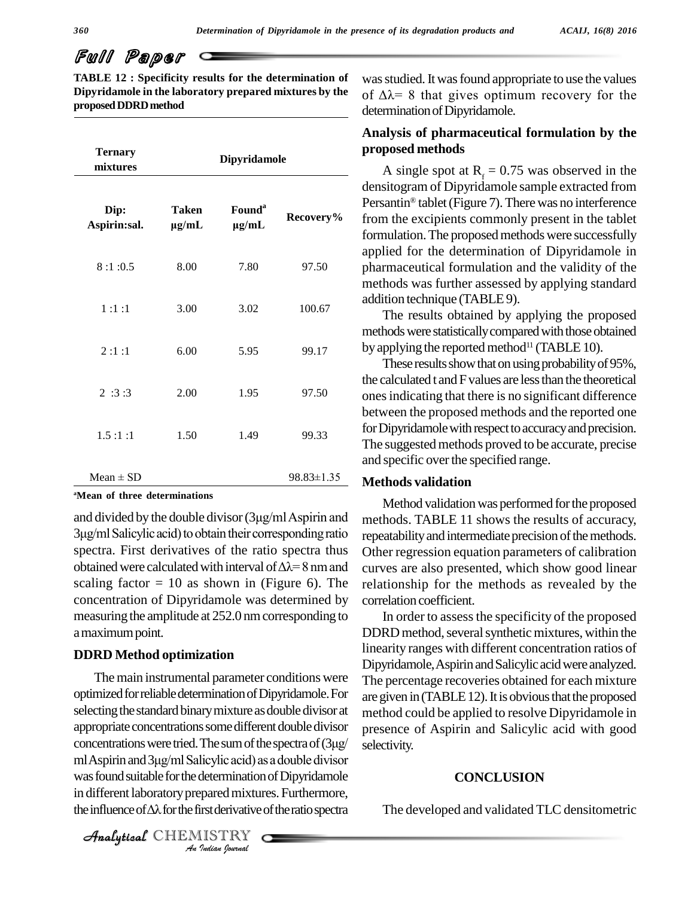**TABLE 12 : Specificity results for the determination of Dipyridamole in the laboratory prepared mixtures by the proposedDDRDmethod**

| <b>Ternary</b><br>mixtures                            |                            | Dipyridamole                     |            | ,<br>propos<br>A :                     |
|-------------------------------------------------------|----------------------------|----------------------------------|------------|----------------------------------------|
| Dip:<br>Aspirin:sal.                                  | <b>Taken</b><br>$\mu$ g/mL | Found <sup>a</sup><br>$\mu$ g/mL | Recovery%  | densito<br>Persan<br>from tl<br>formul |
| 8:1:0.5                                               | 8.00                       | 7.80                             | 97.50      | applied<br>pharm<br>metho              |
| 1:1:1                                                 | 3.00                       | 3.02                             | 100.67     | additio<br>Th                          |
| 2:1:1                                                 | 6.00                       | 5.95                             | 99.17      | method<br>by appl<br>Th                |
| 2:3:3                                                 | 2.00                       | 1.95                             | 97.50      | the cald<br>ones in<br>betwee          |
| 1.5:1:1                                               | 1.50                       | 1.49                             | 99.33      | for Dip<br>The su                      |
| $Mean \pm SD$                                         |                            |                                  | 98.83±1.35 | and spe<br><b>Metho</b>                |
| <sup>a</sup> Mean of three determinations             |                            |                                  |            | $M\varepsilon$                         |
| and divided by the double divisor (3µg/ml Aspirin and |                            |                                  |            | metho                                  |

#### **<sup>a</sup>Mean of three determinations**

Me:<br>and divided by the double divisor (3µg/ml Aspirin and method<br>3µg/ml Salicylic acid) to obtain their corresponding ratio repeata spectra. First derivatives of the ratio spectra thus 3µg/ml Salicylic acid) to obtain their corresponding ratio spectra. First derivatives of the ratio spectra thus obtained were calculated with interval of  $\Delta\lambda = 8$  nm and scaling factor  $= 10$  as shown in (Figure 6). The concentration of Dipyridamole was determined by measuring the amplitude at 252.0 nmcorresponding to amaximumpoint.

#### **DDRD Method optimization**

appropriate concentrations some different double divisor<br>concentrations were tried. The sum of the spectra of  $(3\mu g/\text{m})$  sele<br>ml Aspirin and  $3\mu g/\text{m}$  Salicylic acid) as a double divisor *Incylic acid) as*<br>*determination*<br>pared mixture<br>*IISTRY* The main instrumental parameter conditions were optimized for reliable determination of Dipyridamole. For selecting the standard binary mixture as double divisor at meappropriate concentrations some different double divisor preconcentrations were tried. The sum of the spectra of (3µg/ sel appropriate concentrations some different double divisor was found suitable for the determination of Dipyridamole in different laboratory prepared mixtures. Furthermore, was found suitable for the determination of Dipyridamole<br>in different laboratory prepared mixtures. Furthermore,<br>the influence of  $\Delta\lambda$  for the first derivative of the ratio spectra T

was studied. It was found appropriate to use the values of  $\Delta\lambda$ = 8 that gives optimum recovery for the determination of Dipyridamole.

# **Analysis of pharmaceutical formulation by the proposed methods**

**Recovery%** from the excipients commonly present in the tablet A single spot at  $R_f = 0.75$  was observed in the densitogram of Dipyridamole sample extracted from ÆPersantin<sup>®</sup> tablet (Figure 7). There was no interference formulation. The proposed methods were successfully applied for the determination of Dipyridamole in pharmaceutical formulation and the validity of the methods was further assessed by applying standard addition technique (TABLE9).

> The results obtained by applying the proposed methods were statistically compared with those obtained by applying the reported method<sup>11</sup> (TABLE 10).

> These results show that on using probability of 95%, the calculated t and F values are less than the theoretical ones indicating that there is no significant difference between the proposed methods and the reported one for Dipyridamole with respect to accuracy and precision. The suggested methods proved to be accurate, precise and specific over the specified range.

#### **Methods validation**

Method validation was performed for the proposed methods. TABLE 11 shows the results of accuracy, repeatability and intermediate precision of the methods. Other regression equation parameters of calibration curves are also presented, which show good linear relationship for the methods as revealed by the correlation coefficient.

In order to assess the specificity of the proposed DDRD method, several synthetic mixtures, within the linearity ranges with different concentration ratios of Dipyridamole, Aspirin and Salicylic acid were analyzed. The percentage recoveries obtained for each mixture are given in (TABLE 12). It is obvious that the proposed method could be applied to resolve Dipyridamole in presence of Aspirin and Salicylic acid with good selectivity.

#### **CONCLUSION**

The developed and validated TLC densitometric

CHEMISTRY COMMENT